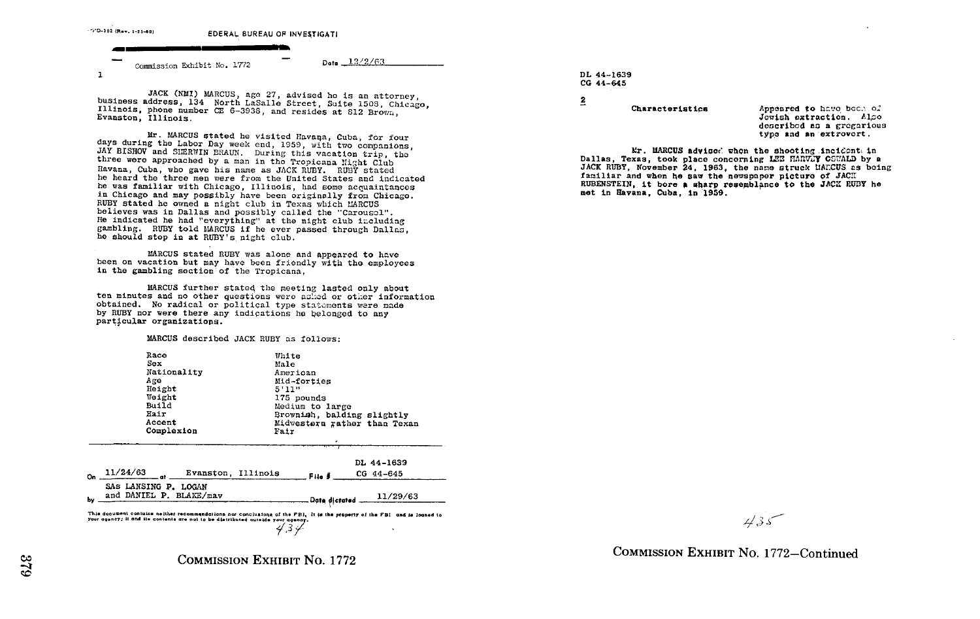

JACK (NMI) MARCUS, age 27, advised he is an attorney, business address, 134 North LaSalle Street, Suite 1508, Chicago, Illinois, phone number CE 6-3938, and resides at 812 Brown, Evanston, Illinois.

Mr. MARCUS stated he visited Havana, Cuba, for four days during the Labor Day week end, 1959, with two companions, JAY BISHOV and SHERWIN BRAUN. During this vacation trip, the three were approached by a man in the Tropicana Night Club Havana. Cuba, who gave his name as JACK RUBY. RUBY stated he heard the three men were from the United States and indicated he was familiar with Chicago, Illinois, had some acquaintances in Chicago and may possibly have been originally from Chicago. RUBY stated he owned a night club in Texas which MARCUS believes was in Dallas and possibly called the "Carousel". He indicated he had "everything" at the night club including gambling. RUBY told MARCUS if he ever passed through Dallas. he should stop in at RUBY's night club.

MARCUS stated RUBY was alone and appeared to have been on vacation but may have been friendly with the employees in the gambling section of the Tropicana,

MARCUS further stated the meeting lasted only about ten minutes and no other questions were asked or other information obtained. No radical or political type statements were made by RUBY nor were there any indications he belonged to any particular organizations.

MARCUS described JACK RUBY as follows:

|    | Race<br>Sex<br>Nationality<br>Age<br>Height<br>Weight<br>Build<br>Hair<br>Accent<br>Complexion | White<br>Male<br>American<br>Mid-forties<br>5'11"<br>175 pounds<br>Medium to large<br>Browniah, balding slightly<br>Midwestern rather than Texan<br>Fair |  |                         |
|----|------------------------------------------------------------------------------------------------|----------------------------------------------------------------------------------------------------------------------------------------------------------|--|-------------------------|
| ٥n | 11/24/63<br>Evanston, Illinois<br>m*                                                           | File #                                                                                                                                                   |  | DL 44-1639<br>CG 44-645 |
| bv | SAS LANSING P. LOGAN<br>and DANIEL P. BLAKE/may                                                | Date dictated                                                                                                                                            |  | 11/29/63                |

This decument contains neither recommendations nor conclusions of the PBI, It is the property of the PBI and is louned to your agency; it and its contents are not to be distributed outside your agency. 434

 $435$ 

**COMMISSION EXHIBIT NO. 1772** 

DL 44-1639 CG 44-645

 $\overline{2}$ 

Characteristics

Appeared to have been of Jovish extraction. Also described as a gregarious type and an extrovert.

Er. MARCUS advised when the shooting incident in Dallas, Texas, took place concerning LEE HARVEY CSUALD by a JACK RUBY. November 24, 1963, the name struck MARCUS as boing familiar and when he saw the newspaper picture of JACH RUBENSTEIN, it bore a sharp resemblance to the JACK RUBY he met in Havana. Cuba. in 1959.

COMMISSION EXHIBIT No. 1772-Continued